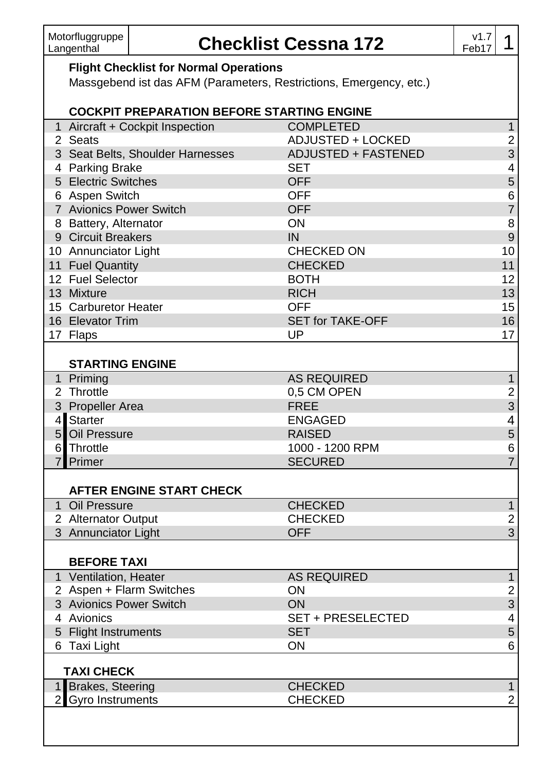## **Checklist Cessna 172** v1.7

## **Flight Checklist for Normal Operations**

Massgebend ist das AFM (Parameters, Restrictions, Emergency, etc.)

|                | <b>COCKPIT PREPARATION BEFORE STARTING ENGINE</b> |                          |                         |
|----------------|---------------------------------------------------|--------------------------|-------------------------|
|                | 1 Aircraft + Cockpit Inspection                   | <b>COMPLETED</b>         | $\mathbf{1}$            |
|                | 2 Seats                                           | <b>ADJUSTED + LOCKED</b> | $\mathbf 2$             |
|                | 3 Seat Belts, Shoulder Harnesses                  | ADJUSTED + FASTENED      | 3                       |
|                | 4 Parking Brake                                   | <b>SET</b>               | 4                       |
|                | 5 Electric Switches                               | <b>OFF</b>               | 5                       |
|                | 6 Aspen Switch                                    | <b>OFF</b>               | 6                       |
|                | 7 Avionics Power Switch                           | <b>OFF</b>               | $\overline{7}$          |
|                | 8 Battery, Alternator                             | ON                       | 8                       |
|                | 9 Circuit Breakers                                | IN                       | $\overline{9}$          |
|                | 10 Annunciator Light                              | <b>CHECKED ON</b>        | 10                      |
|                | 11 Fuel Quantity                                  | <b>CHECKED</b>           | 11                      |
|                | 12 Fuel Selector                                  | <b>BOTH</b>              | 12                      |
|                | 13 Mixture                                        | <b>RICH</b>              | 13                      |
|                | 15 Carburetor Heater                              | <b>OFF</b>               | 15                      |
|                | 16 Elevator Trim                                  | <b>SET for TAKE-OFF</b>  | 16                      |
|                | 17 Flaps                                          | UP                       | 17                      |
|                |                                                   |                          |                         |
|                | <b>STARTING ENGINE</b>                            |                          |                         |
|                | 1 Priming                                         | <b>AS REQUIRED</b>       | $\overline{1}$          |
|                | 2 Throttle                                        | 0,5 CM OPEN              | $\mathbf 2$             |
|                | 3 Propeller Area                                  | <b>FREE</b>              | 3                       |
|                | 4 Starter                                         | <b>ENGAGED</b>           | 4                       |
|                | 5 Oil Pressure                                    | <b>RAISED</b>            | 5                       |
|                | 6 Throttle                                        | 1000 - 1200 RPM          | 6                       |
|                | 7 Primer                                          | <b>SECURED</b>           | $\overline{7}$          |
|                | <b>AFTER ENGINE START CHECK</b>                   |                          |                         |
|                | 1 Oil Pressure                                    | <b>CHECKED</b>           | $\mathbf{1}$            |
|                | 2 Alternator Output                               | <b>CHECKED</b>           | $\mathbf 2$             |
|                | 3 Annunciator Light                               | <b>OFF</b>               | 3                       |
|                |                                                   |                          |                         |
|                | <b>BEFORE TAXI</b>                                |                          |                         |
|                | 1 Ventilation, Heater                             | <b>AS REQUIRED</b>       | $\overline{1}$          |
|                | 2 Aspen + Flarm Switches                          | ON                       | $\mathbf 2$             |
|                | 3 Avionics Power Switch                           | ON                       | 3                       |
|                | 4 Avionics                                        | <b>SET + PRESELECTED</b> | $\overline{\mathbf{4}}$ |
|                | 5 Flight Instruments                              | <b>SET</b>               | 5                       |
|                | 6 Taxi Light                                      | ON                       | 6                       |
|                |                                                   |                          |                         |
|                | <b>TAXI CHECK</b>                                 |                          |                         |
|                | 1 Brakes, Steering                                | <b>CHECKED</b>           | $\mathbf{1}$            |
| $\overline{2}$ | <b>Gyro Instruments</b>                           | <b>CHECKED</b>           | $\overline{c}$          |
|                |                                                   |                          |                         |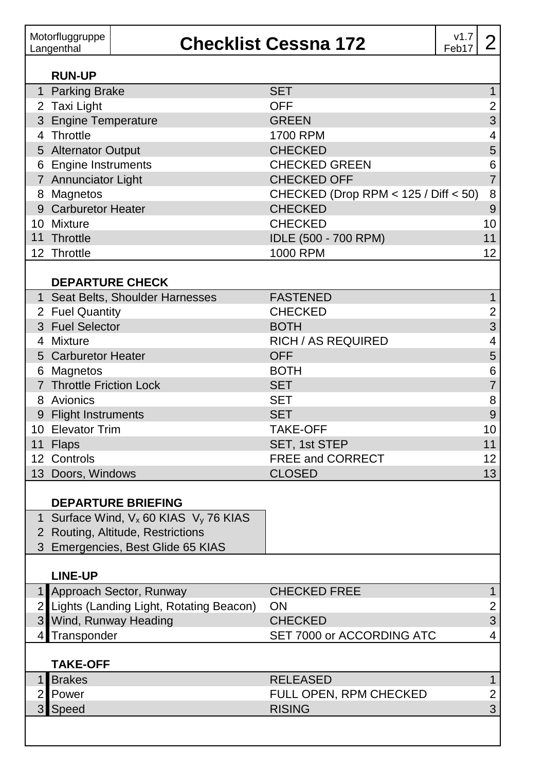| Motorfluggruppe<br>Langenthal |                          |                                                               | <b>Checklist Cessna 172</b>          | v1.7<br>Feb17 | $\overline{2}$          |
|-------------------------------|--------------------------|---------------------------------------------------------------|--------------------------------------|---------------|-------------------------|
|                               | <b>RUN-UP</b>            |                                                               |                                      |               |                         |
|                               | 1 Parking Brake          |                                                               | <b>SET</b>                           |               | $\mathbf{1}$            |
|                               | 2 Taxi Light             |                                                               | <b>OFF</b>                           |               | $\overline{2}$          |
|                               | 3 Engine Temperature     |                                                               | <b>GREEN</b>                         |               | 3                       |
|                               | 4 Throttle               |                                                               | 1700 RPM                             |               | 4                       |
|                               | 5 Alternator Output      |                                                               | <b>CHECKED</b>                       |               | 5                       |
|                               | 6 Engine Instruments     |                                                               | <b>CHECKED GREEN</b>                 |               | 6                       |
|                               | 7 Annunciator Light      |                                                               | <b>CHECKED OFF</b>                   |               | $\overline{7}$          |
|                               | 8 Magnetos               |                                                               | CHECKED (Drop RPM < 125 / Diff < 50) |               | 8                       |
|                               | 9 Carburetor Heater      |                                                               | <b>CHECKED</b>                       |               | 9                       |
|                               | 10 Mixture               |                                                               | <b>CHECKED</b>                       |               | 10                      |
|                               | 11 Throttle              |                                                               | IDLE (500 - 700 RPM)                 |               | 11                      |
|                               | 12 Throttle              |                                                               | 1000 RPM                             |               | 12                      |
|                               |                          |                                                               |                                      |               |                         |
|                               | <b>DEPARTURE CHECK</b>   |                                                               |                                      |               |                         |
|                               |                          | 1 Seat Belts, Shoulder Harnesses                              | <b>FASTENED</b>                      |               | $\mathbf{1}$            |
|                               | 2 Fuel Quantity          |                                                               | <b>CHECKED</b>                       |               | $\overline{c}$          |
|                               | 3 Fuel Selector          |                                                               | <b>BOTH</b>                          |               | 3                       |
|                               | 4 Mixture                |                                                               | RICH / AS REQUIRED                   |               | 4                       |
|                               | 5 Carburetor Heater      |                                                               | <b>OFF</b>                           |               | 5                       |
|                               | 6 Magnetos               |                                                               | <b>BOTH</b>                          |               | 6                       |
|                               | 7 Throttle Friction Lock |                                                               | <b>SET</b>                           |               | $\overline{7}$          |
|                               | 8 Avionics               |                                                               | <b>SET</b>                           |               | 8                       |
|                               | 9 Flight Instruments     |                                                               | <b>SET</b>                           |               | 9                       |
|                               | 10 Elevator Trim         |                                                               | <b>TAKE-OFF</b>                      |               | 10                      |
|                               | 11 Flaps                 |                                                               | SET, 1st STEP                        |               | 11                      |
|                               | 12 Controls              |                                                               | FREE and CORRECT                     |               | 12                      |
|                               | 13 Doors, Windows        |                                                               | <b>CLOSED</b>                        |               | 13                      |
|                               |                          |                                                               |                                      |               |                         |
|                               |                          | <b>DEPARTURE BRIEFING</b>                                     |                                      |               |                         |
|                               |                          | 1 Surface Wind, V <sub>x</sub> 60 KIAS V <sub>y</sub> 76 KIAS |                                      |               |                         |
|                               |                          | 2 Routing, Altitude, Restrictions                             |                                      |               |                         |
|                               |                          | 3 Emergencies, Best Glide 65 KIAS                             |                                      |               |                         |
|                               | <b>LINE-UP</b>           |                                                               |                                      |               |                         |
|                               |                          | 1 Approach Sector, Runway                                     | <b>CHECKED FREE</b>                  |               | $\mathbf{1}$            |
| 2                             |                          | Lights (Landing Light, Rotating Beacon)                       | ON                                   |               | 2                       |
| 3                             |                          | Wind, Runway Heading                                          | <b>CHECKED</b>                       |               | 3                       |
| 41                            | Transponder              |                                                               | SET 7000 or ACCORDING ATC            |               | 4                       |
|                               |                          |                                                               |                                      |               |                         |
|                               | <b>TAKE-OFF</b>          |                                                               |                                      |               |                         |
| 1                             | <b>Brakes</b>            |                                                               | <b>RELEASED</b>                      |               | $\mathbf{1}$            |
| $\overline{a}$                | Power                    |                                                               | FULL OPEN, RPM CHECKED               |               | $\overline{\mathbf{c}}$ |
| 3                             | Speed                    |                                                               | <b>RISING</b>                        |               | 3                       |
|                               |                          |                                                               |                                      |               |                         |
|                               |                          |                                                               |                                      |               |                         |
|                               |                          |                                                               |                                      |               |                         |
|                               |                          |                                                               |                                      |               |                         |
|                               |                          |                                                               |                                      |               |                         |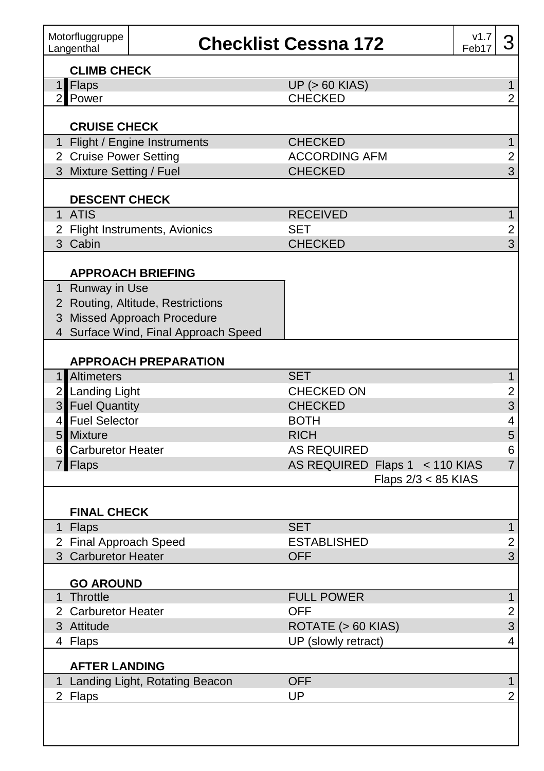| Motorfluggruppe<br>Langenthal    |                                      | <b>Checklist Cessna 172</b><br>Feb17 | v1.7 | 3                       |
|----------------------------------|--------------------------------------|--------------------------------------|------|-------------------------|
| <b>CLIMB CHECK</b>               |                                      |                                      |      |                         |
| 1 Flaps                          |                                      | <b>UP (&gt; 60 KIAS)</b>             |      | $\mathbf 1$             |
| Power<br>$\overline{2}$          |                                      | <b>CHECKED</b>                       |      | 2                       |
| <b>CRUISE CHECK</b>              |                                      |                                      |      |                         |
|                                  | 1 Flight / Engine Instruments        | <b>CHECKED</b>                       |      | $\mathbf{1}$            |
| 2 Cruise Power Setting           |                                      | <b>ACCORDING AFM</b>                 |      | 2                       |
| 3 Mixture Setting / Fuel         |                                      | <b>CHECKED</b>                       |      | 3                       |
| <b>DESCENT CHECK</b>             |                                      |                                      |      |                         |
| 1 ATIS                           |                                      | <b>RECEIVED</b>                      |      | $\mathbf{1}$            |
|                                  | 2 Flight Instruments, Avionics       | <b>SET</b>                           |      | 2                       |
| 3 Cabin                          |                                      | <b>CHECKED</b>                       |      | $\mathbf{3}$            |
|                                  | <b>APPROACH BRIEFING</b>             |                                      |      |                         |
| 1 Runway in Use                  |                                      |                                      |      |                         |
|                                  | 2 Routing, Altitude, Restrictions    |                                      |      |                         |
|                                  | 3 Missed Approach Procedure          |                                      |      |                         |
|                                  | 4 Surface Wind, Final Approach Speed |                                      |      |                         |
|                                  | <b>APPROACH PREPARATION</b>          |                                      |      |                         |
| 1 Altimeters                     |                                      | <b>SET</b>                           |      | $\mathbf{1}$            |
| 2 Landing Light                  |                                      | <b>CHECKED ON</b>                    |      | 2                       |
| 3 Fuel Quantity                  |                                      | <b>CHECKED</b>                       |      | 3                       |
| 4 Fuel Selector                  |                                      | <b>BOTH</b>                          |      | 4                       |
| 5 <sub>5</sub><br><b>Mixture</b> |                                      | <b>RICH</b>                          |      | 5                       |
| <b>Carburetor Heater</b><br>6    |                                      | <b>AS REQUIRED</b>                   |      | 6                       |
| 7 Flaps                          |                                      | AS REQUIRED Flaps 1 < 110 KIAS       |      | $\overline{7}$          |
|                                  |                                      | Flaps 2/3 < 85 KIAS                  |      |                         |
| <b>FINAL CHECK</b>               |                                      |                                      |      |                         |
| 1 Flaps                          |                                      | <b>SET</b>                           |      | $\mathbf{1}$            |
| 2 Final Approach Speed           |                                      | <b>ESTABLISHED</b>                   |      | 2                       |
| 3 Carburetor Heater              |                                      | <b>OFF</b>                           |      | 3                       |
| <b>GO AROUND</b>                 |                                      |                                      |      |                         |
| 1<br>Throttle                    |                                      | <b>FULL POWER</b>                    |      | $\mathbf{1}$            |
| 2 Carburetor Heater              |                                      | <b>OFF</b>                           |      | $\overline{\mathbf{c}}$ |
| 3 Attitude                       |                                      | ROTATE (> 60 KIAS)                   |      | 3                       |
| 4 Flaps                          |                                      | UP (slowly retract)                  |      | 4                       |
| <b>AFTER LANDING</b>             |                                      |                                      |      |                         |
|                                  |                                      | <b>OFF</b>                           |      | $\mathbf{1}$            |
| 1 Landing Light, Rotating Beacon |                                      |                                      |      |                         |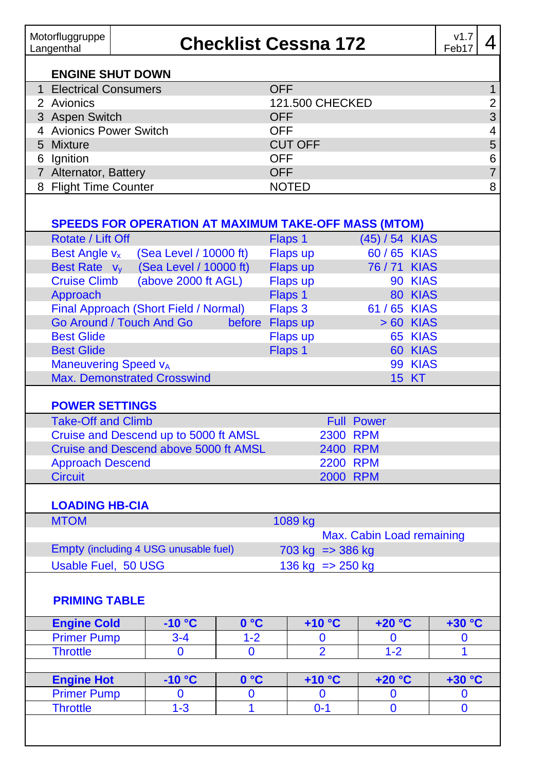| Motorfluggruppe<br>Langenthal |                                                             | <b>Checklist Cessna 172</b> |                 |                            |                           |              | v1.7<br>Feb17 | 4 |
|-------------------------------|-------------------------------------------------------------|-----------------------------|-----------------|----------------------------|---------------------------|--------------|---------------|---|
| <b>ENGINE SHUT DOWN</b>       |                                                             |                             |                 |                            |                           |              |               |   |
| 1 Electrical Consumers        |                                                             |                             | <b>OFF</b>      |                            |                           |              |               |   |
| 2 Avionics                    |                                                             |                             | 121.500 CHECKED |                            |                           |              |               |   |
| 3 Aspen Switch                |                                                             |                             | OFF             |                            |                           |              |               |   |
| 4 Avionics Power Switch       |                                                             |                             | <b>OFF</b>      |                            |                           |              |               |   |
| 5 Mixture                     |                                                             |                             | <b>CUT OFF</b>  |                            |                           |              |               |   |
| 6 Ignition                    |                                                             |                             | <b>OFF</b>      |                            |                           |              |               |   |
| 7 Alternator, Battery         |                                                             |                             | <b>OFF</b>      |                            |                           |              |               |   |
| 8 Flight Time Counter         |                                                             |                             | <b>NOTED</b>    |                            |                           |              |               |   |
|                               | <b>SPEEDS FOR OPERATION AT MAXIMUM TAKE-OFF MASS (MTOM)</b> |                             |                 |                            |                           |              |               |   |
| Rotate / Lift Off             |                                                             |                             | Flaps 1         |                            | (45) / 54 KIAS            |              |               |   |
| Best Angle v <sub>x</sub>     | (Sea Level / 10000 ft)                                      |                             | Flaps up        |                            | 60 / 65 KIAS              |              |               |   |
| Best Rate v <sub>v</sub>      | (Sea Level / 10000 ft)                                      |                             | Flaps up        |                            | 76/71 KIAS                |              |               |   |
| <b>Cruise Climb</b>           | (above 2000 ft AGL)                                         |                             | Flaps up        |                            |                           | 90 KIAS      |               |   |
| Approach                      |                                                             |                             | Flaps 1         |                            |                           | 80 KIAS      |               |   |
|                               | Final Approach (Short Field / Normal)                       |                             | Flaps 3         |                            | 61 / 65 KIAS              |              |               |   |
|                               | Go Around / Touch And Go                                    |                             | before Flaps up |                            |                           | > 60 KIAS    |               |   |
| <b>Best Glide</b>             |                                                             |                             | Flaps up        |                            |                           | 65 KIAS      |               |   |
| <b>Best Glide</b>             |                                                             |                             | Flaps 1         |                            |                           | 60 KIAS      |               |   |
| <b>Maneuvering Speed vA</b>   |                                                             |                             |                 |                            |                           | 99 KIAS      |               |   |
|                               | <b>Max. Demonstrated Crosswind</b>                          |                             |                 |                            |                           | <b>15 KT</b> |               |   |
| <b>POWER SETTINGS</b>         |                                                             |                             |                 |                            |                           |              |               |   |
| <b>Take-Off and Climb</b>     |                                                             |                             |                 | <b>Full Power</b>          |                           |              |               |   |
|                               | Cruise and Descend up to 5000 ft AMSL                       |                             |                 | 2300 RPM                   |                           |              |               |   |
|                               | Cruise and Descend above 5000 ft AMSL                       |                             |                 | 2400 RPM                   |                           |              |               |   |
| <b>Approach Descend</b>       |                                                             |                             |                 | <b>2200 RPM</b>            |                           |              |               |   |
| <b>Circuit</b>                |                                                             |                             |                 | 2000 RPM                   |                           |              |               |   |
| <b>LOADING HB-CIA</b>         |                                                             |                             |                 |                            |                           |              |               |   |
| <b>MTOM</b>                   |                                                             |                             | 1089 kg         |                            |                           |              |               |   |
|                               |                                                             |                             |                 |                            | Max. Cabin Load remaining |              |               |   |
|                               | Empty (including 4 USG unusable fuel)                       |                             |                 | $703 \text{ kg}$ => 386 kg |                           |              |               |   |
| Usable Fuel. 50 USG           |                                                             |                             |                 | 136 kg => 250 kg           |                           |              |               |   |
| <b>PRIMING TABLE</b>          |                                                             |                             |                 |                            |                           |              |               |   |
| <b>Engine Cold</b>            | $-10 °C$                                                    | 0°C                         |                 | $+10 °C$                   | $+20 °C$                  |              | $+30 °C$      |   |
| <b>Primer Pump</b>            | $3 - 4$                                                     | $1 - 2$                     |                 | $\bf{0}$                   | $\bf{0}$                  |              | $\bf{0}$      |   |
| <b>Throttle</b>               | $\mathbf{0}$                                                | 0                           |                 | $\overline{2}$             | $1 - 2$                   |              | $\mathbf{1}$  |   |
| <b>Engine Hot</b>             | $-10 °C$                                                    | 0 °C                        |                 | $+10 °C$                   | $+20 °C$                  |              | +30 °C        |   |
| <b>Primer Pump</b>            | $\mathbf{0}$                                                | $\mathbf 0$                 |                 | $\mathbf{0}$               | 0                         |              | $\mathbf{0}$  |   |
| <b>Throttle</b>               | $1 - 3$                                                     |                             |                 | $0 - 1$                    |                           |              |               |   |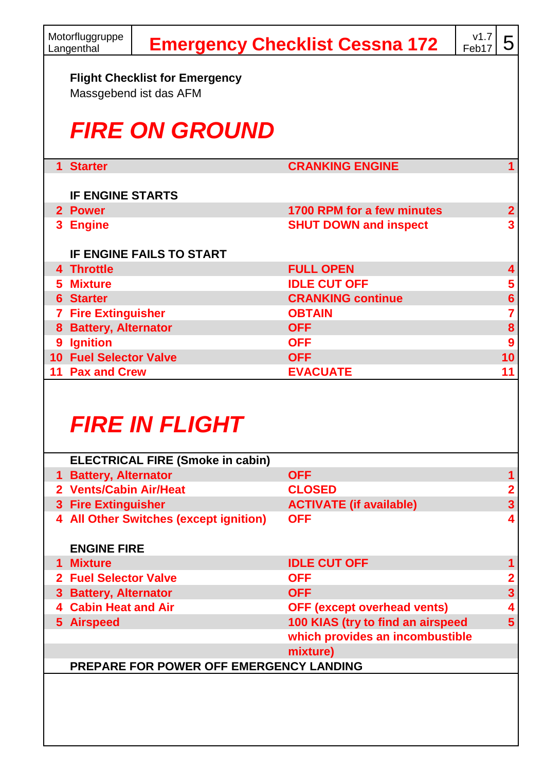|    | Motorfluggruppe<br>Langenthal                                   |                                 | <b>Emergency Checklist Cessna 172</b> | v1.7<br>Feb17 | 5              |  |  |  |  |  |
|----|-----------------------------------------------------------------|---------------------------------|---------------------------------------|---------------|----------------|--|--|--|--|--|
|    | <b>Flight Checklist for Emergency</b><br>Massgebend ist das AFM |                                 |                                       |               |                |  |  |  |  |  |
|    |                                                                 | <b>FIRE ON GROUND</b>           |                                       |               |                |  |  |  |  |  |
|    | 1 Starter                                                       |                                 | <b>CRANKING ENGINE</b>                |               | 1              |  |  |  |  |  |
|    | <b>IF ENGINE STARTS</b>                                         |                                 |                                       |               |                |  |  |  |  |  |
|    | 2 Power                                                         |                                 | 1700 RPM for a few minutes            |               | $\mathbf{2}$   |  |  |  |  |  |
|    | 3 Engine                                                        |                                 | <b>SHUT DOWN and inspect</b>          |               | 3              |  |  |  |  |  |
|    |                                                                 | <b>IF ENGINE FAILS TO START</b> |                                       |               |                |  |  |  |  |  |
|    | 4 Throttle                                                      |                                 | <b>FULL OPEN</b>                      |               | 4              |  |  |  |  |  |
|    | 5 Mixture                                                       |                                 | <b>IDLE CUT OFF</b>                   |               | 5              |  |  |  |  |  |
|    | <b>6</b> Starter                                                |                                 | <b>CRANKING continue</b>              |               | $6\phantom{a}$ |  |  |  |  |  |
|    | <b>7 Fire Extinguisher</b>                                      |                                 | <b>OBTAIN</b>                         |               | 7              |  |  |  |  |  |
|    | 8 Battery, Alternator                                           |                                 | <b>OFF</b>                            |               | 8              |  |  |  |  |  |
| 9. | <b>Ignition</b>                                                 |                                 | <b>OFF</b>                            |               | 9              |  |  |  |  |  |
|    | <b>10 Fuel Selector Valve</b>                                   |                                 | <b>OFF</b>                            |               | 10             |  |  |  |  |  |
|    | 11 Pax and Crew                                                 |                                 | <b>EVACUATE</b>                       |               | 11             |  |  |  |  |  |
|    |                                                                 |                                 |                                       |               |                |  |  |  |  |  |

## *FIRE IN FLIGHT*

|    | <b>ELECTRICAL FIRE (Smoke in cabin)</b>        |                                    |   |
|----|------------------------------------------------|------------------------------------|---|
| 1. | <b>Battery, Alternator</b>                     | <b>OFF</b>                         |   |
|    | 2 Vents/Cabin Air/Heat                         | <b>CLOSED</b>                      | 2 |
|    | 3 Fire Extinguisher                            | <b>ACTIVATE (if available)</b>     | 3 |
| 4  | <b>All Other Switches (except ignition)</b>    | <b>OFF</b>                         | 4 |
|    | <b>ENGINE FIRE</b>                             |                                    |   |
|    | 1 Mixture                                      | <b>IDLE CUT OFF</b>                |   |
|    | 2 Fuel Selector Valve                          | <b>OFF</b>                         |   |
|    | 3 Battery, Alternator                          | <b>OFF</b>                         | 3 |
|    | <b>Cabin Heat and Air</b>                      | <b>OFF (except overhead vents)</b> |   |
|    | 5 Airspeed                                     | 100 KIAS (try to find an airspeed  | 5 |
|    |                                                | which provides an incombustible    |   |
|    |                                                | mixture)                           |   |
|    | <b>PREPARE FOR POWER OFF EMERGENCY LANDING</b> |                                    |   |
|    |                                                |                                    |   |
|    |                                                |                                    |   |
|    |                                                |                                    |   |
|    |                                                |                                    |   |